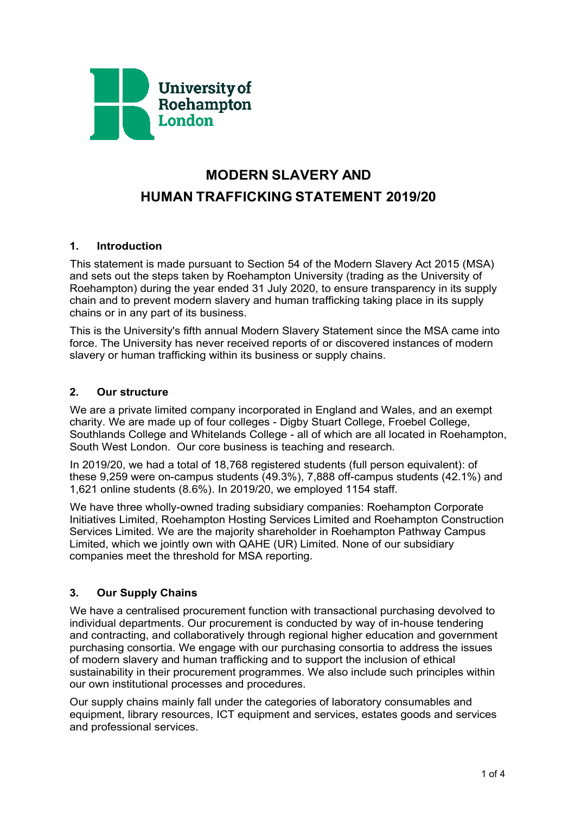

# **MODERN SLAVERY AND HUMAN TRAFFICKING STATEMENT 2019/20**

## **1. Introduction**

This statement is made pursuant to Section 54 of the Modern Slavery Act 2015 (MSA) and sets out the steps taken by Roehampton University (trading as the University of Roehampton) during the year ended 31 July 2020, to ensure transparency in its supply chain and to prevent modern slavery and human trafficking taking place in its supply chains or in any part of its business.

This is the University's fifth annual Modern Slavery Statement since the MSA came into force. The University has never received reports of or discovered instances of modern slavery or human trafficking within its business or supply chains.

#### **2. Our structure**

We are a private limited company incorporated in England and Wales, and an exempt charity. We are made up of four colleges - Digby Stuart College, Froebel College, Southlands College and Whitelands College - all of which are all located in Roehampton, South West London. Our core business is teaching and research.

In 2019/20, we had a total of 18,768 registered students (full person equivalent): of these 9,259 were on-campus students (49.3%), 7,888 off-campus students (42.1%) and 1,621 online students (8.6%). In 2019/20, we employed 1154 staff.

We have three wholly-owned trading subsidiary companies: Roehampton Corporate Initiatives Limited, Roehampton Hosting Services Limited and Roehampton Construction Services Limited. We are the majority shareholder in Roehampton Pathway Campus Limited, which we jointly own with QAHE (UR) Limited. None of our subsidiary companies meet the threshold for MSA reporting.

## **3. Our Supply Chains**

We have a centralised procurement function with transactional purchasing devolved to individual departments. Our procurement is conducted by way of in-house tendering and contracting, and collaboratively through regional higher education and government purchasing consortia. We engage with our purchasing consortia to address the issues of modern slavery and human trafficking and to support the inclusion of ethical sustainability in their procurement programmes. We also include such principles within our own institutional processes and procedures.

Our supply chains mainly fall under the categories of laboratory consumables and equipment, library resources, ICT equipment and services, estates goods and services and professional services.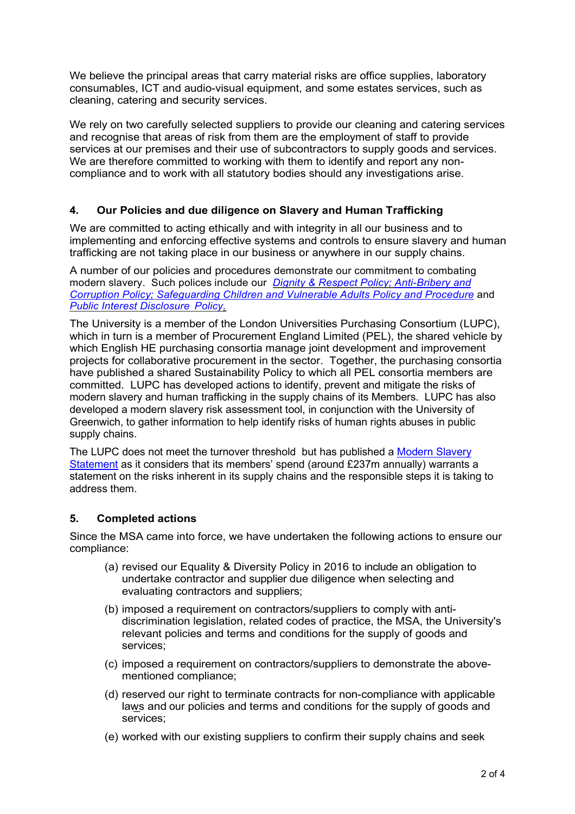We believe the principal areas that carry material risks are office supplies, laboratory consumables, ICT and audio-visual equipment, and some estates services, such as cleaning, catering and security services.

We rely on two carefully selected suppliers to provide our cleaning and catering services and recognise that areas of risk from them are the employment of staff to provide services at our premises and their use of subcontractors to supply goods and services. We are therefore committed to working with them to identify and report any noncompliance and to work with all statutory bodies should any investigations arise.

## **4. Our Policies and due diligence on Slavery and Human Trafficking**

We are committed to acting ethically and with integrity in all our business and to implementing and enforcing effective systems and controls to ensure slavery and human trafficking are not taking place in our business or anywhere in our supply chains.

A number of our policies and procedures demonstrate our commitment to combating modern slavery. Such polices include our *[Dignity & Respect Policy;](https://www.roehampton.ac.uk/globalassets/documents/corporate-information/policies/roehampton-dignity-and-respect-policy-new-logo.pdf) [Anti-Bribery](https://www.roehampton.ac.uk/globalassets/documents/corporate-information/policies/anti-corruption20and20bribery20policy.pdf) and [Corruption Policy;](https://www.roehampton.ac.uk/globalassets/documents/corporate-information/policies/anti-corruption20and20bribery20policy.pdf) [Safeguarding Children and Vulnerable Adults Policy and Procedure](https://www.roehampton.ac.uk/globalassets/documents/corporate-information/policies/safeguarding-policy-dec17.pdf)* and *[Public Interest Disclosure](https://www.roehampton.ac.uk/globalassets/documents/corporate-information/policies/public-interest-disclosure-policy-october-2018.pdf) Policy.*

The University is a member of the London Universities Purchasing Consortium (LUPC), which in turn is a member of Procurement England Limited (PEL), the shared vehicle by which English HE purchasing consortia manage joint development and improvement projects for collaborative procurement in the sector. Together, the purchasing consortia have published a shared Sustainability Policy to which all PEL consortia members are committed. LUPC has developed actions to identify, prevent and mitigate the risks of modern slavery and human trafficking in the supply chains of its Members. LUPC has also developed a modern slavery risk assessment tool, in conjunction with the University of Greenwich, to gather information to help identify risks of human rights abuses in public supply chains.

The LUPC does not meet the turnover threshold but has published a [Modern Slavery](https://www.lupc.ac.uk/sites/default/files/Knowledge%20LUPC%20-%20Protecting%20Human%20Rights%20in%20the%20Supply%20Chain_1.pdf)  [Statement](https://www.lupc.ac.uk/sites/default/files/Knowledge%20LUPC%20-%20Protecting%20Human%20Rights%20in%20the%20Supply%20Chain_1.pdf) as it considers that its members' spend (around £237m annually) warrants a statement on the risks inherent in its supply chains and the responsible steps it is taking to address them.

## **5. Completed actions**

Since the MSA came into force, we have undertaken the following actions to ensure our compliance:

- (a) revised our Equality & Diversity Policy in 2016 to include an obligation to undertake contractor and supplier due diligence when selecting and evaluating contractors and suppliers;
- (b) imposed a requirement on contractors/suppliers to comply with antidiscrimination legislation, related codes of practice, the MSA, the University's relevant policies and terms and conditions for the supply of goods and services;
- (c) imposed a requirement on contractors/suppliers to demonstrate the abovementioned compliance;
- (d) reserved our right to terminate contracts for non-compliance with applicable laws and our policies and terms and conditions for the supply of goods and services;
- (e) worked with our existing suppliers to confirm their supply chains and seek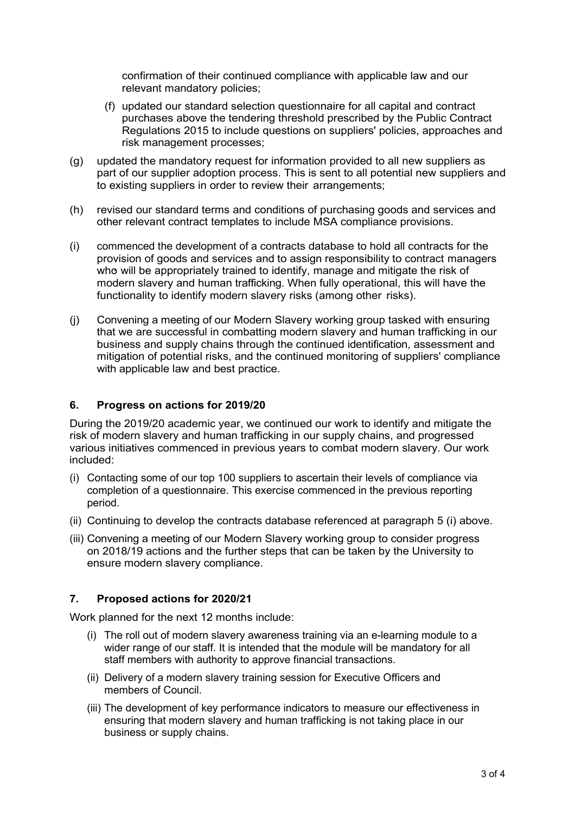confirmation of their continued compliance with applicable law and our relevant mandatory policies;

- (f) updated our standard selection questionnaire for all capital and contract purchases above the tendering threshold prescribed by the Public Contract Regulations 2015 to include questions on suppliers' policies, approaches and risk management processes;
- (g) updated the mandatory request for information provided to all new suppliers as part of our supplier adoption process. This is sent to all potential new suppliers and to existing suppliers in order to review their arrangements;
- (h) revised our standard terms and conditions of purchasing goods and services and other relevant contract templates to include MSA compliance provisions.
- (i) commenced the development of a contracts database to hold all contracts for the provision of goods and services and to assign responsibility to contract managers who will be appropriately trained to identify, manage and mitigate the risk of modern slavery and human trafficking. When fully operational, this will have the functionality to identify modern slavery risks (among other risks).
- (j) Convening a meeting of our Modern Slavery working group tasked with ensuring that we are successful in combatting modern slavery and human trafficking in our business and supply chains through the continued identification, assessment and mitigation of potential risks, and the continued monitoring of suppliers' compliance with applicable law and best practice.

## **6. Progress on actions for 2019/20**

During the 2019/20 academic year, we continued our work to identify and mitigate the risk of modern slavery and human trafficking in our supply chains, and progressed various initiatives commenced in previous years to combat modern slavery. Our work included:

- (i) Contacting some of our top 100 suppliers to ascertain their levels of compliance via completion of a questionnaire. This exercise commenced in the previous reporting period.
- (ii) Continuing to develop the contracts database referenced at paragraph 5 (i) above.
- (iii) Convening a meeting of our Modern Slavery working group to consider progress on 2018/19 actions and the further steps that can be taken by the University to ensure modern slavery compliance.

#### **7. Proposed actions for 2020/21**

Work planned for the next 12 months include:

- (i) The roll out of modern slavery awareness training via an e-learning module to a wider range of our staff. It is intended that the module will be mandatory for all staff members with authority to approve financial transactions.
- (ii) Delivery of a modern slavery training session for Executive Officers and members of Council.
- (iii) The development of key performance indicators to measure our effectiveness in ensuring that modern slavery and human trafficking is not taking place in our business or supply chains.